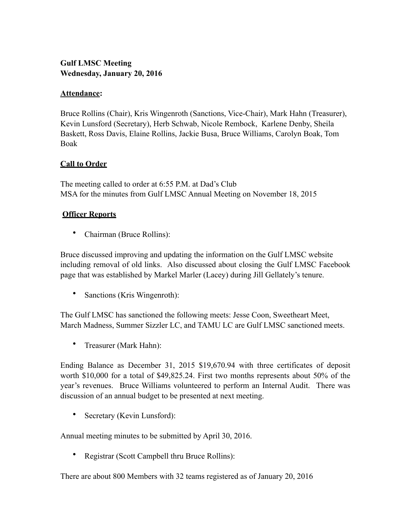# **Gulf LMSC Meeting Wednesday, January 20, 2016**

### **Attendance:**

Bruce Rollins (Chair), Kris Wingenroth (Sanctions, Vice-Chair), Mark Hahn (Treasurer), Kevin Lunsford (Secretary), Herb Schwab, Nicole Rembock, Karlene Denby, Sheila Baskett, Ross Davis, Elaine Rollins, Jackie Busa, Bruce Williams, Carolyn Boak, Tom Boak

## **Call to Order**

The meeting called to order at 6:55 P.M. at Dad's Club MSA for the minutes from Gulf LMSC Annual Meeting on November 18, 2015

## **Officer Reports**

• Chairman (Bruce Rollins):

Bruce discussed improving and updating the information on the Gulf LMSC website including removal of old links. Also discussed about closing the Gulf LMSC Facebook page that was established by Markel Marler (Lacey) during Jill Gellately's tenure.

• Sanctions (Kris Wingenroth):

The Gulf LMSC has sanctioned the following meets: Jesse Coon, Sweetheart Meet, March Madness, Summer Sizzler LC, and TAMU LC are Gulf LMSC sanctioned meets.

• Treasurer (Mark Hahn):

Ending Balance as December 31, 2015 \$19,670.94 with three certificates of deposit worth \$10,000 for a total of \$49,825.24. First two months represents about 50% of the year's revenues. Bruce Williams volunteered to perform an Internal Audit. There was discussion of an annual budget to be presented at next meeting.

• Secretary (Kevin Lunsford):

Annual meeting minutes to be submitted by April 30, 2016.

• Registrar (Scott Campbell thru Bruce Rollins):

There are about 800 Members with 32 teams registered as of January 20, 2016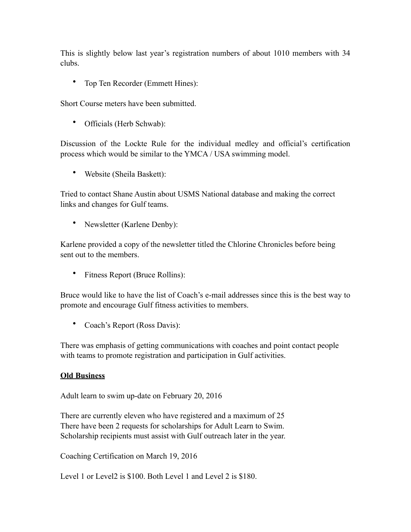This is slightly below last year's registration numbers of about 1010 members with 34 clubs.

• Top Ten Recorder (Emmett Hines):

Short Course meters have been submitted.

• Officials (Herb Schwab):

Discussion of the Lockte Rule for the individual medley and official's certification process which would be similar to the YMCA / USA swimming model.

• Website (Sheila Baskett):

Tried to contact Shane Austin about USMS National database and making the correct links and changes for Gulf teams.

• Newsletter (Karlene Denby):

Karlene provided a copy of the newsletter titled the Chlorine Chronicles before being sent out to the members.

• Fitness Report (Bruce Rollins):

Bruce would like to have the list of Coach's e-mail addresses since this is the best way to promote and encourage Gulf fitness activities to members.

• Coach's Report (Ross Davis):

There was emphasis of getting communications with coaches and point contact people with teams to promote registration and participation in Gulf activities.

#### **Old Business**

Adult learn to swim up-date on February 20, 2016

There are currently eleven who have registered and a maximum of 25 There have been 2 requests for scholarships for Adult Learn to Swim. Scholarship recipients must assist with Gulf outreach later in the year.

Coaching Certification on March 19, 2016

Level 1 or Level2 is \$100. Both Level 1 and Level 2 is \$180.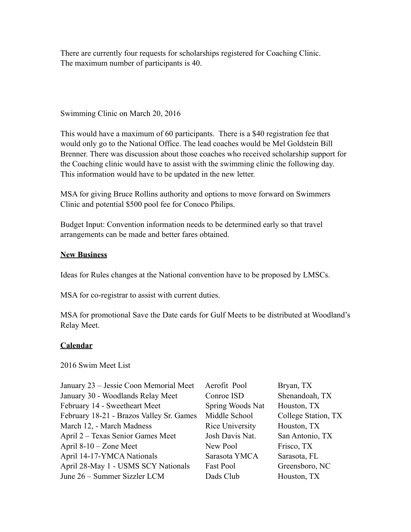There are currently four requests for scholarships registered for Coaching Clinic. The maximum number of participants is 40.

Swimming Clinic on March 20, 2016

This would have a maximum of 60 participants. There is a \$40 registration fee that would only go to the National Office. The lead coaches would be Mel Goldstein Bill Brenner. There was discussion about those coaches who received scholarship support for the Coaching clinic would have to assist with the swimming clinic the following day. This information would have to be updated in the new letter.

MSA for giving Bruce Rollins authority and options to move forward on Swimmers Clinic and potential \$500 pool fee for Conoco Philips.

Budget Input: Convention information needs to be determined early so that travel arrangements can be made and better fares obtained.

#### **New Business**

Ideas for Rules changes at the National convention have to be proposed by LMSCs.

MSA for co-registrar to assist with current duties.

MSA for promotional Save the Date cards for Gulf Meets to be distributed at Woodland's Relay Meet.

# **Calendar**

2016 Swim Meet List

| January 23 - Jessie Coon Memorial Meet   | Aerofit Pool     | Bryan, TX           |
|------------------------------------------|------------------|---------------------|
| January 30 - Woodlands Relay Meet        | Conroe ISD       | Shenandoah, TX      |
| February 14 - Sweetheart Meet            | Spring Woods Nat | Houston, TX         |
| February 18-21 - Brazos Valley Sr. Games | Middle School    | College Station, TX |
| March 12, - March Madness                | Rice University  | Houston, TX         |
| April 2 – Texas Senior Games Meet        | Josh Davis Nat.  | San Antonio, TX     |
| April 8-10 – Zone Meet                   | New Pool         | Frisco, TX          |
| April 14-17-YMCA Nationals               | Sarasota YMCA    | Sarasota, FL        |
| April 28-May 1 - USMS SCY Nationals      | Fast Pool        | Greensboro, NC      |
| June 26 – Summer Sizzler LCM             | Dads Club        | Houston, TX         |
|                                          |                  |                     |